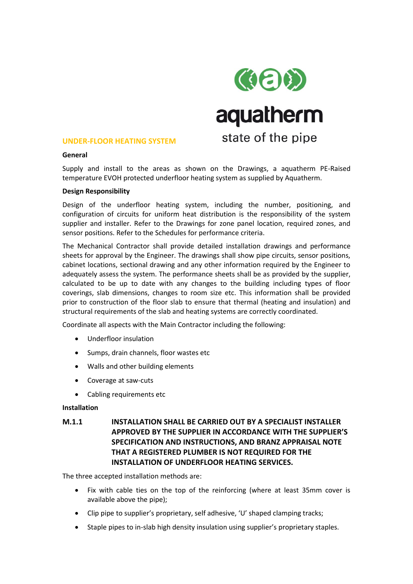

### **UNDER-FLOOR HEATING SYSTEM**

# **General**

Supply and install to the areas as shown on the Drawings, a aquatherm PE-Raised temperature EVOH protected underfloor heating system as supplied by Aquatherm.

### **Design Responsibility**

Design of the underfloor heating system, including the number, positioning, and configuration of circuits for uniform heat distribution is the responsibility of the system supplier and installer. Refer to the Drawings for zone panel location, required zones, and sensor positions. Refer to the Schedules for performance criteria.

The Mechanical Contractor shall provide detailed installation drawings and performance sheets for approval by the Engineer. The drawings shall show pipe circuits, sensor positions, cabinet locations, sectional drawing and any other information required by the Engineer to adequately assess the system. The performance sheets shall be as provided by the supplier, calculated to be up to date with any changes to the building including types of floor coverings, slab dimensions, changes to room size etc. This information shall be provided prior to construction of the floor slab to ensure that thermal (heating and insulation) and structural requirements of the slab and heating systems are correctly coordinated.

Coordinate all aspects with the Main Contractor including the following:

- Underfloor insulation
- Sumps, drain channels, floor wastes etc
- Walls and other building elements
- Coverage at saw-cuts
- Cabling requirements etc

# **Installation**

# **M.1.1 INSTALLATION SHALL BE CARRIED OUT BY A SPECIALIST INSTALLER APPROVED BY THE SUPPLIER IN ACCORDANCE WITH THE SUPPLIER'S SPECIFICATION AND INSTRUCTIONS, AND BRANZ APPRAISAL NOTE THAT A REGISTERED PLUMBER IS NOT REQUIRED FOR THE INSTALLATION OF UNDERFLOOR HEATING SERVICES.**

The three accepted installation methods are:

- Fix with cable ties on the top of the reinforcing (where at least 35mm cover is available above the pipe);
- Clip pipe to supplier's proprietary, self adhesive, 'U' shaped clamping tracks;
- Staple pipes to in-slab high density insulation using supplier's proprietary staples.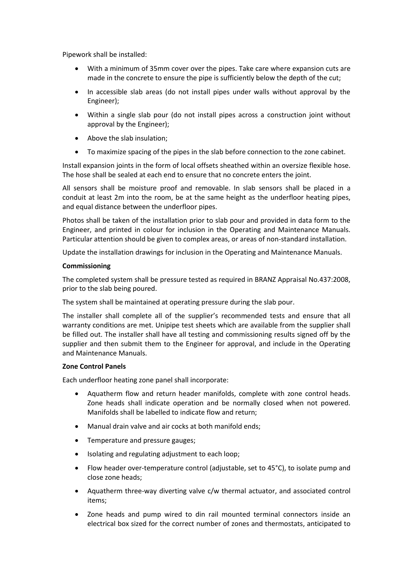Pipework shall be installed:

- With a minimum of 35mm cover over the pipes. Take care where expansion cuts are made in the concrete to ensure the pipe is sufficiently below the depth of the cut;
- In accessible slab areas (do not install pipes under walls without approval by the Engineer);
- Within a single slab pour (do not install pipes across a construction joint without approval by the Engineer);
- Above the slab insulation;
- To maximize spacing of the pipes in the slab before connection to the zone cabinet.

Install expansion joints in the form of local offsets sheathed within an oversize flexible hose. The hose shall be sealed at each end to ensure that no concrete enters the joint.

All sensors shall be moisture proof and removable. In slab sensors shall be placed in a conduit at least 2m into the room, be at the same height as the underfloor heating pipes, and equal distance between the underfloor pipes.

Photos shall be taken of the installation prior to slab pour and provided in data form to the Engineer, and printed in colour for inclusion in the Operating and Maintenance Manuals. Particular attention should be given to complex areas, or areas of non-standard installation.

Update the installation drawings for inclusion in the Operating and Maintenance Manuals.

### **Commissioning**

The completed system shall be pressure tested as required in BRANZ Appraisal No.437:2008, prior to the slab being poured.

The system shall be maintained at operating pressure during the slab pour.

The installer shall complete all of the supplier's recommended tests and ensure that all warranty conditions are met. Unipipe test sheets which are available from the supplier shall be filled out. The installer shall have all testing and commissioning results signed off by the supplier and then submit them to the Engineer for approval, and include in the Operating and Maintenance Manuals.

# **Zone Control Panels**

Each underfloor heating zone panel shall incorporate:

- Aquatherm flow and return header manifolds, complete with zone control heads. Zone heads shall indicate operation and be normally closed when not powered. Manifolds shall be labelled to indicate flow and return;
- Manual drain valve and air cocks at both manifold ends;
- Temperature and pressure gauges;
- Isolating and regulating adjustment to each loop;
- Flow header over-temperature control (adjustable, set to 45°C), to isolate pump and close zone heads;
- Aquatherm three-way diverting valve c/w thermal actuator, and associated control items;
- Zone heads and pump wired to din rail mounted terminal connectors inside an electrical box sized for the correct number of zones and thermostats, anticipated to